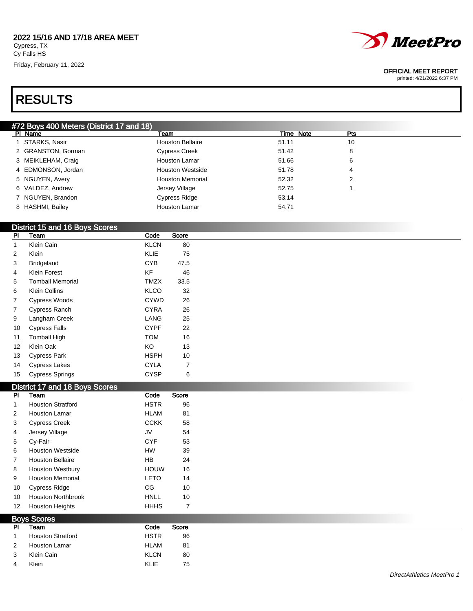#### 2022 15/16 AND 17/18 AREA MEET Cypress, TX

Cy Falls HS Friday, February 11, 2022





#### OFFICIAL MEET REPORT

printed: 4/21/2022 6:37 PM

#### #72 Boys 400 Meters (District 17 and 18) PI Name **The Properties of the Properties of Time Note** Properties and Time Note Properties Properties and Time Note Properties and Properties and Properties and Properties and Properties and Properties and Properties and 1 STARKS, Nasir **10 STARKS**, Nasir **Houston Bellaire** 51.11 51.11 10 GRANSTON, Gorman Cypress Creek 51.42 8 MEIKLEHAM, Craig Houston Lamar 51.66 6 4 EDMONSON, Jordan **Houston Westside** 51.78 4 5 NGUYEN, Avery **Example 2** Houston Memorial **52.32** 2 2 VALDEZ, Andrew Jersey Village 52.75 1 NGUYEN, Brandon Cypress Ridge 53.14 8 HASHMI, Bailey **Houston Lamar** 64.71

#### District 15 and 16 Boys Scores

| PI | Team                    | Code        | Score |
|----|-------------------------|-------------|-------|
| 1  | Klein Cain              | <b>KLCN</b> | 80    |
| 2  | Klein                   | KLIE        | 75    |
| 3  | <b>Bridgeland</b>       | <b>CYB</b>  | 47.5  |
| 4  | Klein Forest            | ΚF          | 46    |
| 5  | <b>Tomball Memorial</b> | <b>TMZX</b> | 33.5  |
| 6  | Klein Collins           | KLCO        | 32    |
| 7  | <b>Cypress Woods</b>    | <b>CYWD</b> | 26    |
| 7  | Cypress Ranch           | <b>CYRA</b> | 26    |
| 9  | Langham Creek           | LANG        | 25    |
| 10 | Cypress Falls           | <b>CYPF</b> | 22    |
| 11 | <b>Tomball High</b>     | <b>TOM</b>  | 16    |
| 12 | Klein Oak               | ΚO          | 13    |
| 13 | Cypress Park            | HSPH        | 10    |
| 14 | <b>Cypress Lakes</b>    | CYLA        | 7     |
| 15 | <b>Cypress Springs</b>  | CYSP        | 6     |

#### District 17 and 18 Boys Scores

| <b>PI</b>         | $\frac{1}{2}$ and $\frac{1}{2}$ and $\frac{1}{2}$ and $\frac{1}{2}$ and $\frac{1}{2}$<br>Team | Code        | Score                    |
|-------------------|-----------------------------------------------------------------------------------------------|-------------|--------------------------|
| 1                 | <b>Houston Stratford</b>                                                                      | <b>HSTR</b> | 96                       |
| $\overline{2}$    | <b>Houston Lamar</b>                                                                          | <b>HLAM</b> | 81                       |
| 3                 | <b>Cypress Creek</b>                                                                          | <b>CCKK</b> | 58                       |
| 4                 | Jersey Village                                                                                | JV          | 54                       |
| 5                 | Cy-Fair                                                                                       | <b>CYF</b>  | 53                       |
| 6                 | <b>Houston Westside</b>                                                                       | HW          | 39                       |
| $\overline{7}$    | <b>Houston Bellaire</b>                                                                       | HB          | 24                       |
| 8                 | <b>Houston Westbury</b>                                                                       | <b>HOUW</b> | 16                       |
| 9                 | <b>Houston Memorial</b>                                                                       | <b>LETO</b> | 14                       |
| 10                | <b>Cypress Ridge</b>                                                                          | CG          | 10                       |
| 10                | <b>Houston Northbrook</b>                                                                     | <b>HNLL</b> | 10                       |
| $12 \overline{ }$ | <b>Houston Heights</b>                                                                        | <b>HHHS</b> | $\overline{\phantom{a}}$ |

| <b>Boys Scores</b> |                          |             |       |  |  |  |
|--------------------|--------------------------|-------------|-------|--|--|--|
| <b>PI</b>          | Team                     | Code        | Score |  |  |  |
|                    | <b>Houston Stratford</b> | <b>HSTR</b> | 96    |  |  |  |
| 2                  | Houston Lamar            | <b>HLAM</b> | 81    |  |  |  |
| 3                  | Klein Cain               | <b>KLCN</b> | 80    |  |  |  |
| 4                  | Klein                    | <b>KLIE</b> | 75    |  |  |  |